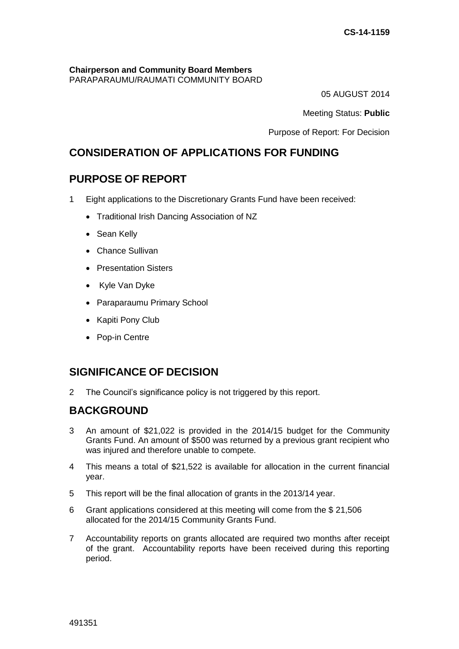#### **Chairperson and Community Board Members** PARAPARAUMU/RAUMATI COMMUNITY BOARD

05 AUGUST 2014

Meeting Status: **Public**

Purpose of Report: For Decision

# **CONSIDERATION OF APPLICATIONS FOR FUNDING**

# **PURPOSE OF REPORT**

- 1 Eight applications to the Discretionary Grants Fund have been received:
	- Traditional Irish Dancing Association of NZ
	- Sean Kelly
	- Chance Sullivan
	- **Presentation Sisters**
	- Kyle Van Dyke
	- Paraparaumu Primary School
	- Kapiti Pony Club
	- Pop-in Centre

# **SIGNIFICANCE OF DECISION**

2 The Council's significance policy is not triggered by this report.

# **BACKGROUND**

- 3 An amount of \$21,022 is provided in the 2014/15 budget for the Community Grants Fund. An amount of \$500 was returned by a previous grant recipient who was injured and therefore unable to compete.
- 4 This means a total of \$21,522 is available for allocation in the current financial year.
- 5 This report will be the final allocation of grants in the 2013/14 year.
- 6 Grant applications considered at this meeting will come from the \$ 21,506 allocated for the 2014/15 Community Grants Fund.
- 7 Accountability reports on grants allocated are required two months after receipt of the grant. Accountability reports have been received during this reporting period.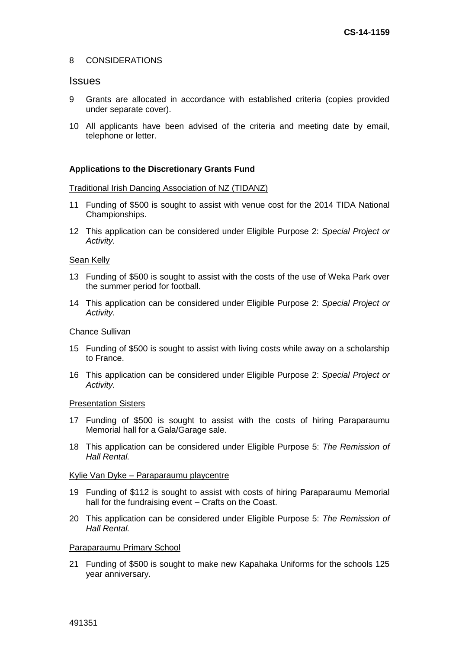### 8 CONSIDERATIONS

### **Issues**

- 9 Grants are allocated in accordance with established criteria (copies provided under separate cover).
- 10 All applicants have been advised of the criteria and meeting date by email, telephone or letter.

### **Applications to the Discretionary Grants Fund**

#### Traditional Irish Dancing Association of NZ (TIDANZ)

- 11 Funding of \$500 is sought to assist with venue cost for the 2014 TIDA National Championships.
- 12 This application can be considered under Eligible Purpose 2: *Special Project or Activity.*

#### Sean Kelly

- 13 Funding of \$500 is sought to assist with the costs of the use of Weka Park over the summer period for football.
- 14 This application can be considered under Eligible Purpose 2: *Special Project or Activity.*

#### Chance Sullivan

- 15 Funding of \$500 is sought to assist with living costs while away on a scholarship to France.
- 16 This application can be considered under Eligible Purpose 2: *Special Project or Activity.*

#### Presentation Sisters

- 17 Funding of \$500 is sought to assist with the costs of hiring Paraparaumu Memorial hall for a Gala/Garage sale.
- 18 This application can be considered under Eligible Purpose 5: *The Remission of Hall Rental.*

### Kylie Van Dyke – Paraparaumu playcentre

- 19 Funding of \$112 is sought to assist with costs of hiring Paraparaumu Memorial hall for the fundraising event – Crafts on the Coast.
- 20 This application can be considered under Eligible Purpose 5: *The Remission of Hall Rental.*

### Paraparaumu Primary School

21 Funding of \$500 is sought to make new Kapahaka Uniforms for the schools 125 year anniversary.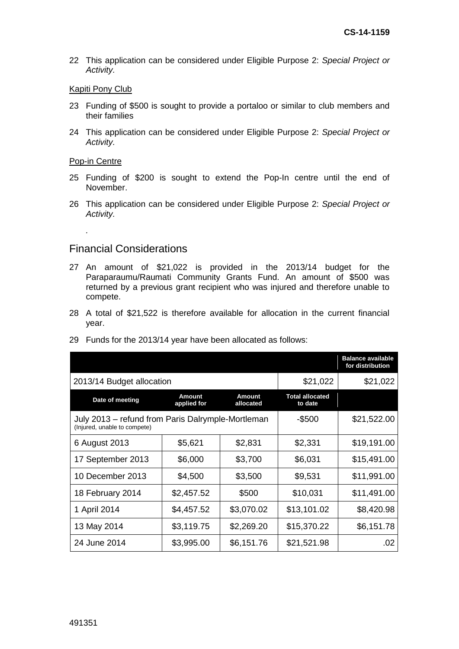22 This application can be considered under Eligible Purpose 2: *Special Project or Activity.* 

### Kapiti Pony Club

- 23 Funding of \$500 is sought to provide a portaloo or similar to club members and their families
- 24 This application can be considered under Eligible Purpose 2: *Special Project or Activity.*

#### Pop-in Centre

*.* 

- 25 Funding of \$200 is sought to extend the Pop-In centre until the end of November.
- 26 This application can be considered under Eligible Purpose 2: *Special Project or Activity.*

## Financial Considerations

- 27 An amount of \$21,022 is provided in the 2013/14 budget for the Paraparaumu/Raumati Community Grants Fund. An amount of \$500 was returned by a previous grant recipient who was injured and therefore unable to compete.
- 28 A total of \$21,522 is therefore available for allocation in the current financial year.

|                                                                                   |                              |                            |                                   | <b>Balance available</b><br>for distribution |
|-----------------------------------------------------------------------------------|------------------------------|----------------------------|-----------------------------------|----------------------------------------------|
| 2013/14 Budget allocation                                                         | \$21,022                     | \$21,022                   |                                   |                                              |
| Date of meeting                                                                   | <b>Amount</b><br>applied for | <b>Amount</b><br>allocated | <b>Total allocated</b><br>to date |                                              |
| July 2013 - refund from Paris Dalrymple-Mortleman<br>(Injured, unable to compete) | $-$ \$500                    | \$21,522.00                |                                   |                                              |
| 6 August 2013                                                                     | \$5,621                      | \$2,831                    | \$2,331                           | \$19,191.00                                  |
| 17 September 2013                                                                 | \$6,000                      | \$3,700                    | \$6,031                           | \$15,491.00                                  |
| 10 December 2013                                                                  | \$4,500                      | \$3,500                    | \$9,531                           | \$11,991.00                                  |
| 18 February 2014                                                                  | \$2,457.52                   | \$500                      | \$10,031                          | \$11,491.00                                  |
| 1 April 2014                                                                      | \$4,457.52                   | \$3,070.02                 | \$13,101.02                       | \$8,420.98                                   |
| 13 May 2014                                                                       | \$3,119.75                   | \$2,269.20                 | \$15,370.22                       | \$6,151.78                                   |
| 24 June 2014                                                                      | \$3,995.00                   | \$6,151.76                 | \$21,521.98                       | .02                                          |

29 Funds for the 2013/14 year have been allocated as follows: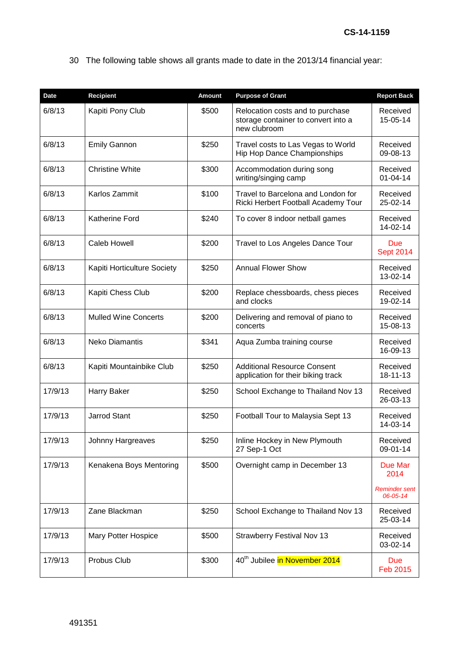30 The following table shows all grants made to date in the 2013/14 financial year:

| <b>Date</b> | <b>Recipient</b>            | <b>Amount</b> | <b>Purpose of Grant</b>                                                                 | <b>Report Back</b>               |
|-------------|-----------------------------|---------------|-----------------------------------------------------------------------------------------|----------------------------------|
| 6/8/13      | Kapiti Pony Club            | \$500         | Relocation costs and to purchase<br>storage container to convert into a<br>new clubroom | Received<br>15-05-14             |
| 6/8/13      | <b>Emily Gannon</b>         | \$250         | Travel costs to Las Vegas to World<br>Hip Hop Dance Championships                       | Received<br>09-08-13             |
| 6/8/13      | <b>Christine White</b>      | \$300         | Accommodation during song<br>writing/singing camp                                       | Received<br>$01 - 04 - 14$       |
| 6/8/13      | Karlos Zammit               | \$100         | Travel to Barcelona and London for<br>Ricki Herbert Football Academy Tour               | Received<br>25-02-14             |
| 6/8/13      | <b>Katherine Ford</b>       | \$240         | To cover 8 indoor netball games                                                         | Received<br>14-02-14             |
| 6/8/13      | Caleb Howell                | \$200         | Travel to Los Angeles Dance Tour                                                        | Due<br><b>Sept 2014</b>          |
| 6/8/13      | Kapiti Horticulture Society | \$250         | <b>Annual Flower Show</b>                                                               | Received<br>13-02-14             |
| 6/8/13      | Kapiti Chess Club           | \$200         | Replace chessboards, chess pieces<br>and clocks                                         | Received<br>19-02-14             |
| 6/8/13      | <b>Mulled Wine Concerts</b> | \$200         | Delivering and removal of piano to<br>concerts                                          | Received<br>15-08-13             |
| 6/8/13      | <b>Neko Diamantis</b>       | \$341         | Aqua Zumba training course                                                              | Received<br>16-09-13             |
| 6/8/13      | Kapiti Mountainbike Club    | \$250         | <b>Additional Resource Consent</b><br>application for their biking track                | Received<br>18-11-13             |
| 17/9/13     | Harry Baker                 | \$250         | School Exchange to Thailand Nov 13                                                      | Received<br>26-03-13             |
| 17/9/13     | <b>Jarrod Stant</b>         | \$250         | Football Tour to Malaysia Sept 13                                                       | Received<br>14-03-14             |
| 17/9/13     | Johnny Hargreaves           | \$250         | Inline Hockey in New Plymouth<br>27 Sep-1 Oct                                           | Received<br>09-01-14             |
| 17/9/13     | Kenakena Boys Mentoring     | \$500         | Overnight camp in December 13                                                           | Due Mar<br>2014                  |
|             |                             |               |                                                                                         | <b>Reminder sent</b><br>06-05-14 |
| 17/9/13     | Zane Blackman               | \$250         | School Exchange to Thailand Nov 13                                                      | Received<br>25-03-14             |
| 17/9/13     | <b>Mary Potter Hospice</b>  | \$500         | <b>Strawberry Festival Nov 13</b>                                                       | Received<br>03-02-14             |
| 17/9/13     | Probus Club                 | \$300         | 40th Jubilee in November 2014                                                           | Due<br><b>Feb 2015</b>           |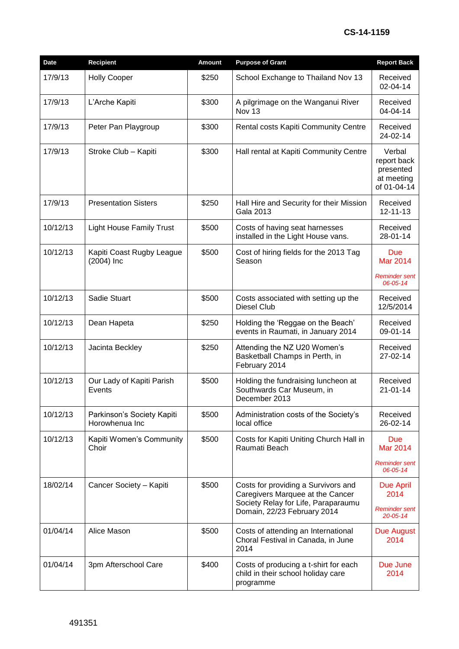## **CS-14-1159**

| Date     | <b>Recipient</b>                             | <b>Amount</b> | <b>Purpose of Grant</b>                                                                                        | <b>Report Back</b>                                              |
|----------|----------------------------------------------|---------------|----------------------------------------------------------------------------------------------------------------|-----------------------------------------------------------------|
| 17/9/13  | <b>Holly Cooper</b>                          | \$250         | School Exchange to Thailand Nov 13                                                                             | Received<br>02-04-14                                            |
| 17/9/13  | L'Arche Kapiti                               | \$300         | A pilgrimage on the Wanganui River<br>Nov <sub>13</sub>                                                        | Received<br>04-04-14                                            |
| 17/9/13  | Peter Pan Playgroup                          | \$300         | Rental costs Kapiti Community Centre                                                                           | Received<br>24-02-14                                            |
| 17/9/13  | Stroke Club - Kapiti                         | \$300         | Hall rental at Kapiti Community Centre                                                                         | Verbal<br>report back<br>presented<br>at meeting<br>of 01-04-14 |
| 17/9/13  | <b>Presentation Sisters</b>                  | \$250         | Hall Hire and Security for their Mission<br><b>Gala 2013</b>                                                   | Received<br>12-11-13                                            |
| 10/12/13 | <b>Light House Family Trust</b>              | \$500         | Costs of having seat harnesses<br>installed in the Light House vans.                                           | Received<br>28-01-14                                            |
| 10/12/13 | Kapiti Coast Rugby League<br>$(2004)$ Inc    | \$500         | Cost of hiring fields for the 2013 Tag<br>Season                                                               | Due<br><b>Mar 2014</b>                                          |
|          |                                              |               |                                                                                                                | <b>Reminder sent</b><br>06-05-14                                |
| 10/12/13 | Sadie Stuart                                 | \$500         | Costs associated with setting up the<br><b>Diesel Club</b>                                                     | Received<br>12/5/2014                                           |
| 10/12/13 | Dean Hapeta                                  | \$250         | Holding the 'Reggae on the Beach'<br>events in Raumati, in January 2014                                        | Received<br>09-01-14                                            |
| 10/12/13 | Jacinta Beckley                              | \$250         | Attending the NZ U20 Women's<br>Basketball Champs in Perth, in<br>February 2014                                | Received<br>27-02-14                                            |
| 10/12/13 | Our Lady of Kapiti Parish<br>Events          | \$500         | Holding the fundraising luncheon at<br>Southwards Car Museum, in<br>December 2013                              | Received<br>21-01-14                                            |
| 10/12/13 | Parkinson's Society Kapiti<br>Horowhenua Inc | \$500         | Administration costs of the Society's<br>local office                                                          | Received<br>26-02-14                                            |
| 10/12/13 | Kapiti Women's Community<br>Choir            | \$500         | Costs for Kapiti Uniting Church Hall in<br>Raumati Beach                                                       | <b>Due</b><br><b>Mar 2014</b>                                   |
|          |                                              |               |                                                                                                                | Reminder sent<br>06-05-14                                       |
| 18/02/14 | Cancer Society - Kapiti                      | \$500         | Costs for providing a Survivors and<br>Caregivers Marquee at the Cancer<br>Society Relay for Life, Paraparaumu | <b>Due April</b><br>2014                                        |
|          |                                              |               | Domain, 22/23 February 2014                                                                                    | Reminder sent<br>$20 - 05 - 14$                                 |
| 01/04/14 | Alice Mason                                  | \$500         | Costs of attending an International<br>Choral Festival in Canada, in June<br>2014                              | Due August<br>2014                                              |
| 01/04/14 | 3pm Afterschool Care                         | \$400         | Costs of producing a t-shirt for each<br>child in their school holiday care<br>programme                       | Due June<br>2014                                                |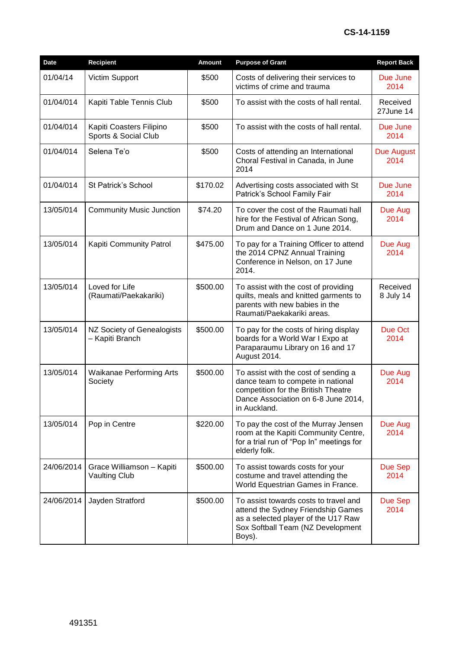| Date       | <b>Recipient</b>                                  | Amount   | <b>Purpose of Grant</b>                                                                                                                                                 | <b>Report Back</b>        |
|------------|---------------------------------------------------|----------|-------------------------------------------------------------------------------------------------------------------------------------------------------------------------|---------------------------|
| 01/04/14   | Victim Support                                    | \$500    | Costs of delivering their services to<br>victims of crime and trauma                                                                                                    | Due June<br>2014          |
| 01/04/014  | Kapiti Table Tennis Club                          | \$500    | To assist with the costs of hall rental.                                                                                                                                | Received<br>27June 14     |
| 01/04/014  | Kapiti Coasters Filipino<br>Sports & Social Club  | \$500    | To assist with the costs of hall rental.                                                                                                                                | Due June<br>2014          |
| 01/04/014  | Selena Te'o                                       | \$500    | Costs of attending an International<br>Choral Festival in Canada, in June<br>2014                                                                                       | <b>Due August</b><br>2014 |
| 01/04/014  | St Patrick's School                               | \$170.02 | Advertising costs associated with St<br>Patrick's School Family Fair                                                                                                    | Due June<br>2014          |
| 13/05/014  | <b>Community Music Junction</b>                   | \$74.20  | To cover the cost of the Raumati hall<br>hire for the Festival of African Song,<br>Drum and Dance on 1 June 2014.                                                       | Due Aug<br>2014           |
| 13/05/014  | Kapiti Community Patrol                           | \$475.00 | To pay for a Training Officer to attend<br>the 2014 CPNZ Annual Training<br>Conference in Nelson, on 17 June<br>2014.                                                   | Due Aug<br>2014           |
| 13/05/014  | Loved for Life<br>(Raumati/Paekakariki)           | \$500.00 | To assist with the cost of providing<br>quilts, meals and knitted garments to<br>parents with new babies in the<br>Raumati/Paekakariki areas.                           | Received<br>8 July 14     |
| 13/05/014  | NZ Society of Genealogists<br>- Kapiti Branch     | \$500.00 | To pay for the costs of hiring display<br>boards for a World War I Expo at<br>Paraparaumu Library on 16 and 17<br>August 2014.                                          | Due Oct<br>2014           |
| 13/05/014  | <b>Waikanae Performing Arts</b><br>Society        | \$500.00 | To assist with the cost of sending a<br>dance team to compete in national<br>competition for the British Theatre<br>Dance Association on 6-8 June 2014,<br>in Auckland. | Due Aug<br>2014           |
| 13/05/014  | Pop in Centre                                     | \$220.00 | To pay the cost of the Murray Jensen<br>room at the Kapiti Community Centre,<br>for a trial run of "Pop In" meetings for<br>elderly folk.                               | Due Aug<br>2014           |
| 24/06/2014 | Grace Williamson - Kapiti<br><b>Vaulting Club</b> | \$500.00 | To assist towards costs for your<br>costume and travel attending the<br>World Equestrian Games in France.                                                               | Due Sep<br>2014           |
| 24/06/2014 | Jayden Stratford                                  | \$500.00 | To assist towards costs to travel and<br>attend the Sydney Friendship Games<br>as a selected player of the U17 Raw<br>Sox Softball Team (NZ Development<br>Boys).       | Due Sep<br>2014           |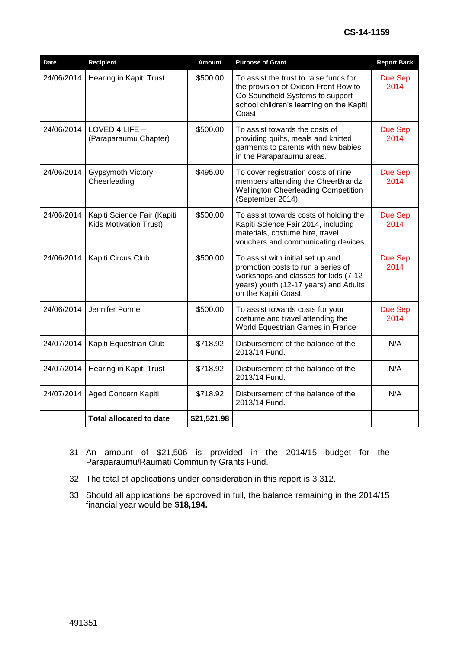| <b>Date</b> | Recipient                                                    | <b>Amount</b> | <b>Purpose of Grant</b>                                                                                                                                                          | <b>Report Back</b>     |
|-------------|--------------------------------------------------------------|---------------|----------------------------------------------------------------------------------------------------------------------------------------------------------------------------------|------------------------|
| 24/06/2014  | Hearing in Kapiti Trust                                      | \$500.00      | To assist the trust to raise funds for<br>the provision of Oxicon Front Row to<br>Go Soundfield Systems to support<br>school children's learning on the Kapiti<br>Coast          | Due Sep<br>2014        |
| 24/06/2014  | LOVED 4 LIFE $-$<br>(Paraparaumu Chapter)                    | \$500.00      | To assist towards the costs of<br>providing quilts, meals and knitted<br>garments to parents with new babies<br>in the Paraparaumu areas.                                        | <b>Due Sep</b><br>2014 |
| 24/06/2014  | Gypsymoth Victory<br>Cheerleading                            | \$495.00      | To cover registration costs of nine<br>members attending the CheerBrandz<br><b>Wellington Cheerleading Competition</b><br>(September 2014).                                      | <b>Due Sep</b><br>2014 |
| 24/06/2014  | Kapiti Science Fair (Kapiti<br><b>Kids Motivation Trust)</b> | \$500.00      | To assist towards costs of holding the<br>Kapiti Science Fair 2014, including<br>materials, costume hire, travel<br>vouchers and communicating devices.                          | Due Sep<br>2014        |
| 24/06/2014  | Kapiti Circus Club                                           | \$500.00      | To assist with initial set up and<br>promotion costs to run a series of<br>workshops and classes for kids (7-12<br>years) youth (12-17 years) and Adults<br>on the Kapiti Coast. | <b>Due Sep</b><br>2014 |
| 24/06/2014  | Jennifer Ponne                                               | \$500.00      | To assist towards costs for your<br>costume and travel attending the<br>World Equestrian Games in France                                                                         | Due Sep<br>2014        |
| 24/07/2014  | Kapiti Equestrian Club                                       | \$718.92      | Disbursement of the balance of the<br>2013/14 Fund.                                                                                                                              | N/A                    |
| 24/07/2014  | Hearing in Kapiti Trust                                      | \$718.92      | Disbursement of the balance of the<br>2013/14 Fund.                                                                                                                              | N/A                    |
| 24/07/2014  | Aged Concern Kapiti                                          | \$718.92      | Disbursement of the balance of the<br>2013/14 Fund.                                                                                                                              | N/A                    |
|             | <b>Total allocated to date</b>                               | \$21,521.98   |                                                                                                                                                                                  |                        |

- 31 An amount of \$21,506 is provided in the 2014/15 budget for the Paraparaumu/Raumati Community Grants Fund.
- 32 The total of applications under consideration in this report is 3,312.
- 33 Should all applications be approved in full, the balance remaining in the 2014/15 financial year would be **\$18,194.**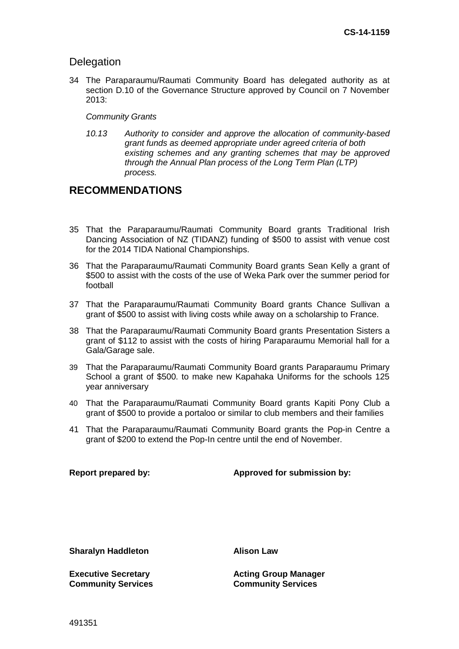## **Delegation**

34 The Paraparaumu/Raumati Community Board has delegated authority as at section D.10 of the Governance Structure approved by Council on 7 November 2013:

## *Community Grants*

*10.13 Authority to consider and approve the allocation of community-based grant funds as deemed appropriate under agreed criteria of both existing schemes and any granting schemes that may be approved through the Annual Plan process of the Long Term Plan (LTP) process.* 

# **RECOMMENDATIONS**

- 35 That the Paraparaumu/Raumati Community Board grants Traditional Irish Dancing Association of NZ (TIDANZ) funding of \$500 to assist with venue cost for the 2014 TIDA National Championships.
- 36 That the Paraparaumu/Raumati Community Board grants Sean Kelly a grant of \$500 to assist with the costs of the use of Weka Park over the summer period for football
- 37 That the Paraparaumu/Raumati Community Board grants Chance Sullivan a grant of \$500 to assist with living costs while away on a scholarship to France.
- 38 That the Paraparaumu/Raumati Community Board grants Presentation Sisters a grant of \$112 to assist with the costs of hiring Paraparaumu Memorial hall for a Gala/Garage sale.
- 39 That the Paraparaumu/Raumati Community Board grants Paraparaumu Primary School a grant of \$500. to make new Kapahaka Uniforms for the schools 125 year anniversary
- 40 That the Paraparaumu/Raumati Community Board grants Kapiti Pony Club a grant of \$500 to provide a portaloo or similar to club members and their families
- 41 That the Paraparaumu/Raumati Community Board grants the Pop-in Centre a grant of \$200 to extend the Pop-In centre until the end of November.

## **Report prepared by: Approved for submission by:**

**Sharalyn Haddleton Alison Law**

**Executive Secretary Community Services**

**Acting Group Manager Community Services**